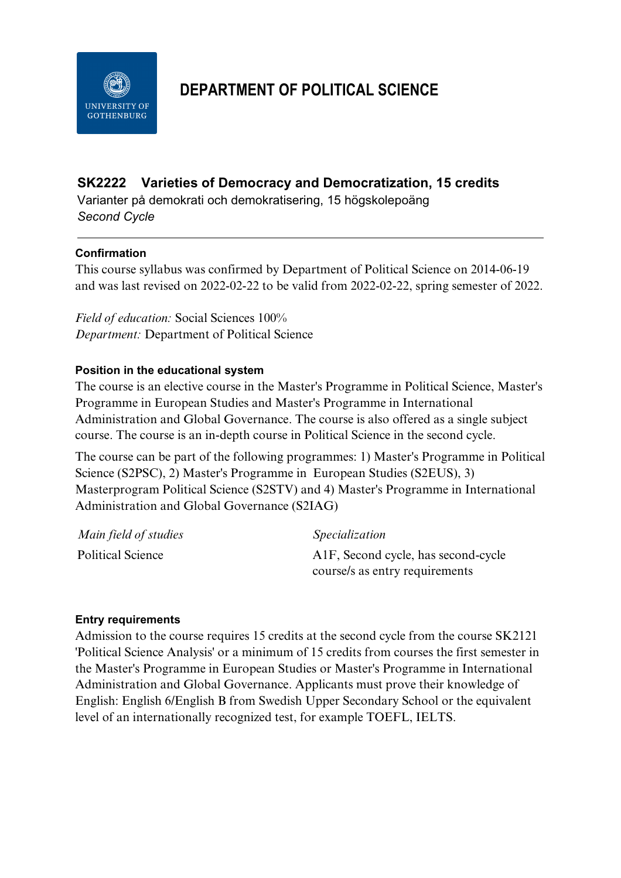

# **DEPARTMENT OF POLITICAL SCIENCE**

# **SK2222 Varieties of Democracy and Democratization, 15 credits**

Varianter på demokrati och demokratisering, 15 högskolepoäng *Second Cycle*

# **Confirmation**

This course syllabus was confirmed by Department of Political Science on 2014-06-19 and was last revised on 2022-02-22 to be valid from 2022-02-22, spring semester of 2022.

*Field of education:* Social Sciences 100% *Department:* Department of Political Science

# **Position in the educational system**

The course is an elective course in the Master's Programme in Political Science, Master's Programme in European Studies and Master's Programme in International Administration and Global Governance. The course is also offered as a single subject course. The course is an in-depth course in Political Science in the second cycle.

The course can be part of the following programmes: 1) Master's Programme in Political Science (S2PSC), 2) Master's Programme in European Studies (S2EUS), 3) Masterprogram Political Science (S2STV) and 4) Master's Programme in International Administration and Global Governance (S2IAG)

| Main field of studies | <i>Specialization</i>                            |
|-----------------------|--------------------------------------------------|
| Political Science     | A <sub>1</sub> F, Second cycle, has second-cycle |
|                       | course/s as entry requirements                   |

#### **Entry requirements**

Admission to the course requires 15 credits at the second cycle from the course SK2121 'Political Science Analysis' or a minimum of 15 credits from courses the first semester in the Master's Programme in European Studies or Master's Programme in International Administration and Global Governance. Applicants must prove their knowledge of English: English 6/English B from Swedish Upper Secondary School or the equivalent level of an internationally recognized test, for example TOEFL, IELTS.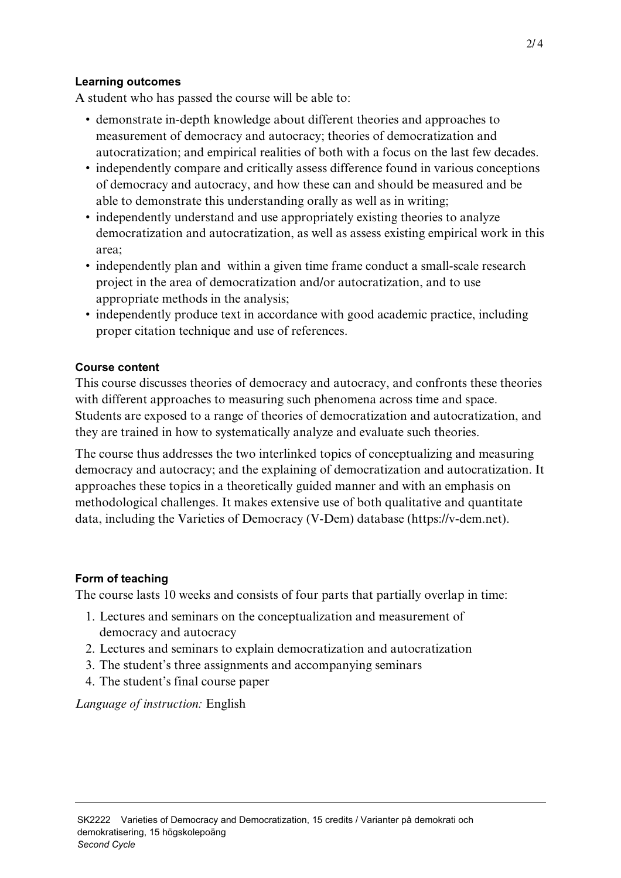#### **Learning outcomes**

A student who has passed the course will be able to:

- demonstrate in-depth knowledge about different theories and approaches to measurement of democracy and autocracy; theories of democratization and autocratization; and empirical realities of both with a focus on the last few decades.
- independently compare and critically assess difference found in various conceptions of democracy and autocracy, and how these can and should be measured and be able to demonstrate this understanding orally as well as in writing;
- independently understand and use appropriately existing theories to analyze democratization and autocratization, as well as assess existing empirical work in this area;
- independently plan and within a given time frame conduct a small-scale research project in the area of democratization and/or autocratization, and to use appropriate methods in the analysis;
- independently produce text in accordance with good academic practice, including proper citation technique and use of references.

#### **Course content**

This course discusses theories of democracy and autocracy, and confronts these theories with different approaches to measuring such phenomena across time and space. Students are exposed to a range of theories of democratization and autocratization, and they are trained in how to systematically analyze and evaluate such theories.

The course thus addresses the two interlinked topics of conceptualizing and measuring democracy and autocracy; and the explaining of democratization and autocratization. It approaches these topics in a theoretically guided manner and with an emphasis on methodological challenges. It makes extensive use of both qualitative and quantitate data, including the Varieties of Democracy (V-Dem) database (https://v-dem.net).

# **Form of teaching**

The course lasts 10 weeks and consists of four parts that partially overlap in time:

- 1. Lectures and seminars on the conceptualization and measurement of democracy and autocracy
- 2. Lectures and seminars to explain democratization and autocratization
- 3. The student's three assignments and accompanying seminars
- 4. The student's final course paper

*Language of instruction:* English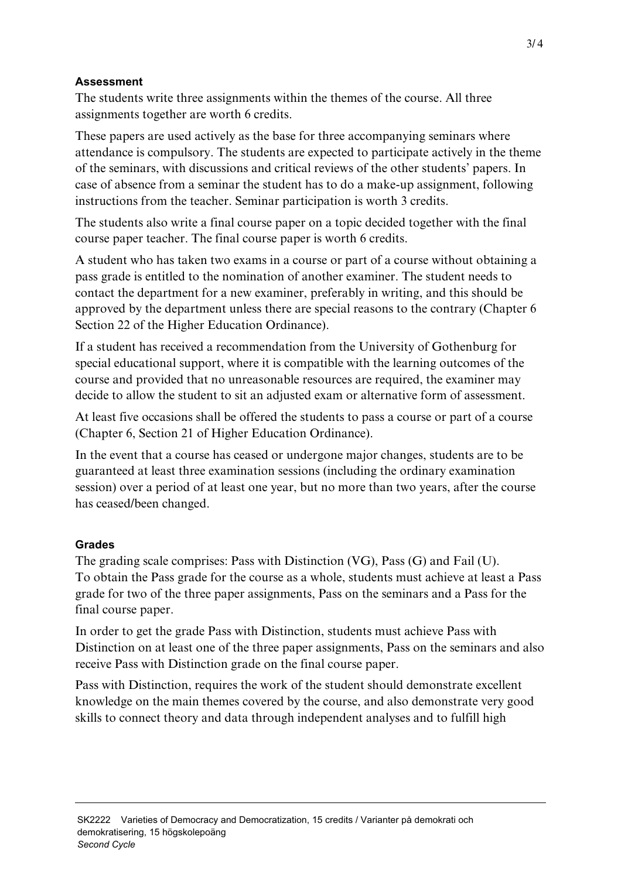#### **Assessment**

The students write three assignments within the themes of the course. All three assignments together are worth 6 credits.

These papers are used actively as the base for three accompanying seminars where attendance is compulsory. The students are expected to participate actively in the theme of the seminars, with discussions and critical reviews of the other students' papers. In case of absence from a seminar the student has to do a make-up assignment, following instructions from the teacher. Seminar participation is worth 3 credits.

The students also write a final course paper on a topic decided together with the final course paper teacher. The final course paper is worth 6 credits.

A student who has taken two exams in a course or part of a course without obtaining a pass grade is entitled to the nomination of another examiner. The student needs to contact the department for a new examiner, preferably in writing, and this should be approved by the department unless there are special reasons to the contrary (Chapter 6 Section 22 of the Higher Education Ordinance).

If a student has received a recommendation from the University of Gothenburg for special educational support, where it is compatible with the learning outcomes of the course and provided that no unreasonable resources are required, the examiner may decide to allow the student to sit an adjusted exam or alternative form of assessment.

At least five occasions shall be offered the students to pass a course or part of a course (Chapter 6, Section 21 of Higher Education Ordinance).

In the event that a course has ceased or undergone major changes, students are to be guaranteed at least three examination sessions (including the ordinary examination session) over a period of at least one year, but no more than two years, after the course has ceased/been changed.

# **Grades**

The grading scale comprises: Pass with Distinction (VG), Pass (G) and Fail (U). To obtain the Pass grade for the course as a whole, students must achieve at least a Pass grade for two of the three paper assignments, Pass on the seminars and a Pass for the final course paper.

In order to get the grade Pass with Distinction, students must achieve Pass with Distinction on at least one of the three paper assignments, Pass on the seminars and also receive Pass with Distinction grade on the final course paper.

Pass with Distinction, requires the work of the student should demonstrate excellent knowledge on the main themes covered by the course, and also demonstrate very good skills to connect theory and data through independent analyses and to fulfill high